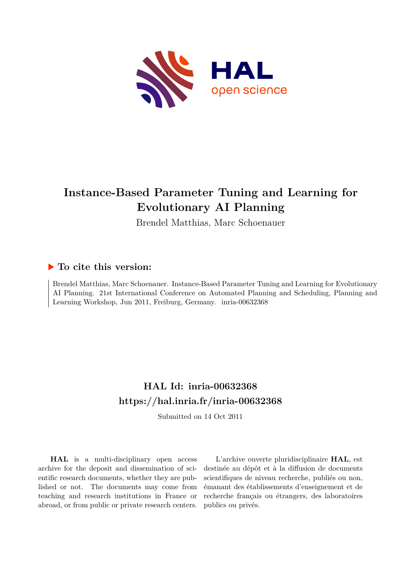

# **Instance-Based Parameter Tuning and Learning for Evolutionary AI Planning**

Brendel Matthias, Marc Schoenauer

### **To cite this version:**

Brendel Matthias, Marc Schoenauer. Instance-Based Parameter Tuning and Learning for Evolutionary AI Planning. 21st International Conference on Automated Planning and Scheduling, Planning and Learning Workshop, Jun 2011, Freiburg, Germany. inria-00632368

## **HAL Id: inria-00632368 <https://hal.inria.fr/inria-00632368>**

Submitted on 14 Oct 2011

**HAL** is a multi-disciplinary open access archive for the deposit and dissemination of scientific research documents, whether they are published or not. The documents may come from teaching and research institutions in France or abroad, or from public or private research centers.

L'archive ouverte pluridisciplinaire **HAL**, est destinée au dépôt et à la diffusion de documents scientifiques de niveau recherche, publiés ou non, émanant des établissements d'enseignement et de recherche français ou étrangers, des laboratoires publics ou privés.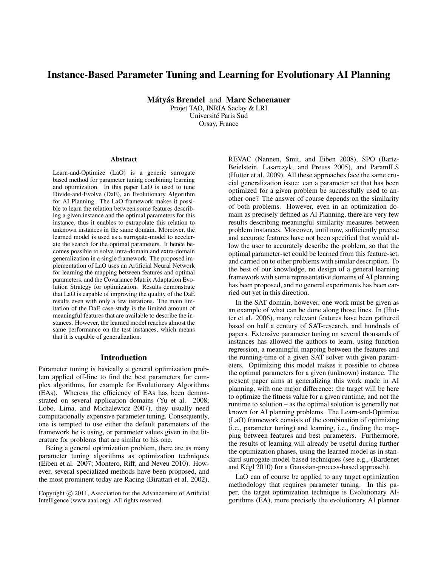### Instance-Based Parameter Tuning and Learning for Evolutionary AI Planning

Mátvás Brendel and Marc Schoenauer

Projet TAO, INRIA Saclay & LRI Universite Paris Sud ´ Orsay, France

#### Abstract

Learn-and-Optimize (LaO) is a generic surrogate based method for parameter tuning combining learning and optimization. In this paper LaO is used to tune Divide-and-Evolve (DaE), an Evolutionary Algorithm for AI Planning. The LaO framework makes it possible to learn the relation between some features describing a given instance and the optimal parameters for this instance, thus it enables to extrapolate this relation to unknown instances in the same domain. Moreover, the learned model is used as a surrogate-model to accelerate the search for the optimal parameters. It hence becomes possible to solve intra-domain and extra-domain generalization in a single framework. The proposed implementation of LaO uses an Artificial Neural Network for learning the mapping between features and optimal parameters, and the Covariance Matrix Adaptation Evolution Strategy for optimization. Results demonstrate that LaO is capable of improving the quality of the DaE results even with only a few iterations. The main limitation of the DaE case-study is the limited amount of meaningful features that are available to describe the instances. However, the learned model reaches almost the same performance on the test instances, which means that it is capable of generalization.

#### Introduction

Parameter tuning is basically a general optimization problem applied off-line to find the best parameters for complex algorithms, for example for Evolutionary Algorithms (EAs). Whereas the efficiency of EAs has been demonstrated on several application domains (Yu et al. 2008; Lobo, Lima, and Michalewicz 2007), they usually need computationally expensive parameter tuning. Consequently, one is tempted to use either the default parameters of the framework he is using, or parameter values given in the literature for problems that are similar to his one.

Being a general optimization problem, there are as many parameter tuning algorithms as optimization techniques (Eiben et al. 2007; Montero, Riff, and Neveu 2010). However, several specialized methods have been proposed, and the most prominent today are Racing (Birattari et al. 2002), REVAC (Nannen, Smit, and Eiben 2008), SPO (Bartz-Beielstein, Lasarczyk, and Preuss 2005), and ParamILS (Hutter et al. 2009). All these approaches face the same crucial generalization issue: can a parameter set that has been optimized for a given problem be successfully used to another one? The answer of course depends on the similarity of both problems. However, even in an optimization domain as precisely defined as AI Planning, there are very few results describing meaningful similarity measures between problem instances. Moreover, until now, sufficiently precise and accurate features have not been specified that would allow the user to accurately describe the problem, so that the optimal parameter-set could be learned from this feature-set, and carried on to other problems with similar description. To the best of our knowledge, no design of a general learning framework with some representative domains of AI planning has been proposed, and no general experiments has been carried out yet in this direction.

In the SAT domain, however, one work must be given as an example of what can be done along those lines. In (Hutter et al. 2006), many relevant features have been gathered based on half a century of SAT-research, and hundreds of papers. Extensive parameter tuning on several thousands of instances has allowed the authors to learn, using function regression, a meaningful mapping between the features and the running-time of a given SAT solver with given parameters. Optimizing this model makes it possible to choose the optimal parameters for a given (unknown) instance. The present paper aims at generalizing this work made in AI planning, with one major difference: the target will be here to optimize the fitness value for a given runtime, and not the runtime to solution – as the optimal solution is generally not known for AI planning problems. The Learn-and-Optimize (LaO) framework consists of the combination of optimizing (i.e., parameter tuning) and learning, i.e., finding the mapping between features and best parameters. Furthermore, the results of learning will already be useful during further the optimization phases, using the learned model as in standard surrogate-model based techniques (see e.g., (Bardenet and Kégl 2010) for a Gaussian-process-based approach).

LaO can of course be applied to any target optimization methodology that requires parameter tuning. In this paper, the target optimization technique is Evolutionary Algorithms (EA), more precisely the evolutionary AI planner

Copyright © 2011, Association for the Advancement of Artificial Intelligence (www.aaai.org). All rights reserved.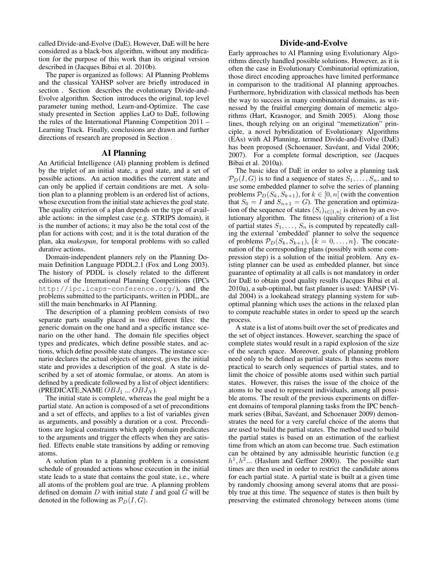called Divide-and-Evolve (DaE). However, DaE will be here considered as a black-box algorithm, without any modification for the purpose of this work than its original version described in (Jacques Bibai et al. 2010b).

The paper is organized as follows: AI Planning Problems and the classical YAHSP solver are briefly introduced in section . Section describes the evolutionary Divide-and-Evolve algorithm. Section introduces the original, top level parameter tuning method, Learn-and-Optimize. The case study presented in Section applies LaO to DaE, following the rules of the International Planning Competition 2011 – Learning Track. Finally, conclusions are drawn and further directions of research are proposed in Section .

#### AI Planning

An Artificial Intelligence (AI) planning problem is defined by the triplet of an initial state, a goal state, and a set of possible actions. An action modifies the current state and can only be applied if certain conditions are met. A solution plan to a planning problem is an ordered list of actions, whose execution from the initial state achieves the goal state. The quality criterion of a plan depends on the type of available actions: in the simplest case (e.g. STRIPS domain), it is the number of actions; it may also be the total cost of the plan for actions with cost; and it is the total duration of the plan, aka *makespan*, for temporal problems with so called durative actions.

Domain-independent planners rely on the Planning Domain Definition Language PDDL2.1 (Fox and Long 2003). The history of PDDL is closely related to the different editions of the International Planning Competitions (IPCs http://ipc.icaps-conference.org/), and the problems submitted to the participants, written in PDDL, are still the main benchmarks in AI Planning.

The description of a planning problem consists of two separate parts usually placed in two different files: the generic domain on the one hand and a specific instance scenario on the other hand. The domain file specifies object types and predicates, which define possible states, and actions, which define possible state changes. The instance scenario declares the actual objects of interest, gives the initial state and provides a description of the goal. A state is described by a set of atomic formulae, or atoms. An atom is defined by a predicate followed by a list of object identifiers: (PREDICATE NAME  $OBJ_1$  ...  $OBJ_N$ ).

The initial state is complete, whereas the goal might be a partial state. An action is composed of a set of preconditions and a set of effects, and applies to a list of variables given as arguments, and possibly a duration or a cost. Preconditions are logical constraints which apply domain predicates to the arguments and trigger the effects when they are satisfied. Effects enable state transitions by adding or removing atoms.

A solution plan to a planning problem is a consistent schedule of grounded actions whose execution in the initial state leads to a state that contains the goal state, i.e., where all atoms of the problem goal are true. A planning problem defined on domain  $D$  with initial state  $I$  and goal  $\overline{G}$  will be denoted in the following as  $\mathcal{P}_D(I, G)$ .

#### Divide-and-Evolve

Early approaches to AI Planning using Evolutionary Algorithms directly handled possible solutions. However, as it is often the case in Evolutionary Combinatorial optimization, those direct encoding approaches have limited performance in comparison to the traditional AI planning approaches. Furthermore, hybridization with classical methods has been the way to success in many combinatorial domains, as witnessed by the fruitful emerging domain of memetic algorithms (Hart, Krasnogor, and Smith 2005). Along those lines, though relying on an original "memetization" principle, a novel hybridization of Evolutionary Algorithms (EAs) with AI Planning, termed Divide-and-Evolve (DaE) has been proposed (Schoenauer, Savéant, and Vidal 2006; 2007). For a complete formal description, see (Jacques Bibai et al. 2010a).

The basic idea of DaE in order to solve a planning task  $\mathcal{P}_D(I, G)$  is to find a sequence of states  $S_1, \ldots, S_n$ , and to use some embedded planner to solve the series of planning problems  $\mathcal{P}_D(S_k, S_{k+1})$ , for  $k \in [0, n]$  (with the convention that  $S_0 = I$  and  $S_{n+1} = G$ ). The generation and optimization of the sequence of states  $(S_i)_{i \in [1,n]}$  is driven by an evolutionary algorithm. The fitness (quality criterion) of a list of partial states  $S_1, \ldots, S_n$  is computed by repeatedly calling the external 'embedded' planner to solve the sequence of problems  $\mathcal{P}_D(S_k, S_{k+1}), \{k = 0, \ldots, n\}.$  The concatenation of the corresponding plans (possibly with some compression step) is a solution of the initial problem. Any existing planner can be used as embedded planner, but since guarantee of optimality at all calls is not mandatory in order for DaE to obtain good quality results (Jacques Bibai et al. 2010a), a sub-optimal, but fast planner is used: YAHSP (Vidal 2004) is a lookahead strategy planning system for suboptimal planning which uses the actions in the relaxed plan to compute reachable states in order to speed up the search process.

A state is a list of atoms built over the set of predicates and the set of object instances. However, searching the space of complete states would result in a rapid explosion of the size of the search space. Moreover, goals of planning problem need only to be defined as partial states. It thus seems more practical to search only sequences of partial states, and to limit the choice of possible atoms used within such partial states. However, this raises the issue of the choice of the atoms to be used to represent individuals, among all possible atoms. The result of the previous experiments on different domains of temporal planning tasks from the IPC benchmark series (Bibai, Savéant, and Schoenauer 2009) demonstrates the need for a very careful choice of the atoms that are used to build the partial states. The method used to build the partial states is based on an estimation of the earliest time from which an atom can become true. Such estimation can be obtained by any admissible heuristic function (e.g  $h<sup>1</sup>$ ,  $h<sup>2</sup>$ ... (Haslum and Geffner 2000)). The possible start times are then used in order to restrict the candidate atoms for each partial state. A partial state is built at a given time by randomly choosing among several atoms that are possibly true at this time. The sequence of states is then built by preserving the estimated chronology between atoms (time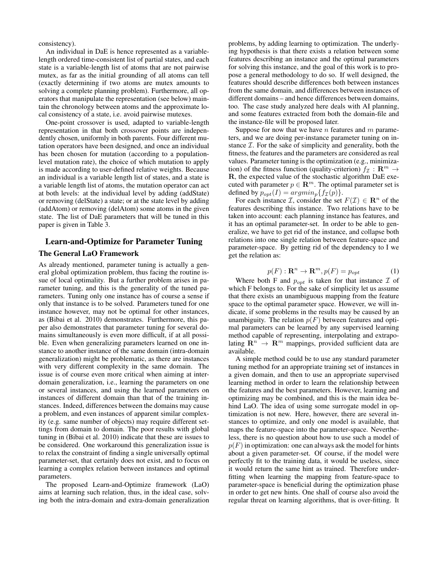consistency).

An individual in DaE is hence represented as a variablelength ordered time-consistent list of partial states, and each state is a variable-length list of atoms that are not pairwise mutex, as far as the initial grounding of all atoms can tell (exactly determining if two atoms are mutex amounts to solving a complete planning problem). Furthermore, all operators that manipulate the representation (see below) maintain the chronology between atoms and the approximate local consistency of a state, i.e. avoid pairwise mutexes.

One-point crossover is used, adapted to variable-length representation in that both crossover points are independently chosen, uniformly in both parents. Four different mutation operators have been designed, and once an individual has been chosen for mutation (according to a populationlevel mutation rate), the choice of which mutation to apply is made according to user-defined relative weights. Because an individual is a variable length list of states, and a state is a variable length list of atoms, the mutation operator can act at both levels: at the individual level by adding (addState) or removing (delState) a state; or at the state level by adding (addAtom) or removing (delAtom) some atoms in the given state. The list of DaE parameters that will be tuned in this paper is given in Table 3.

#### Learn-and-Optimize for Parameter Tuning

#### The General LaO Framework

As already mentioned, parameter tuning is actually a general global optimization problem, thus facing the routine issue of local optimality. But a further problem arises in parameter tuning, and this is the generality of the tuned parameters. Tuning only one instance has of course a sense if only that instance is to be solved. Parameters tuned for one instance however, may not be optimal for other instances, as (Bibai et al. 2010) demonstrates. Furthermore, this paper also demonstrates that parameter tuning for several domains simultaneously is even more difficult, if at all possible. Even when generalizing parameters learned on one instance to another instance of the same domain (intra-domain generalization) might be problematic, as there are instances with very different complexity in the same domain. The issue is of course even more critical when aiming at interdomain generalization, i.e., learning the parameters on one or several instances, and using the learned parameters on instances of different domain than that of the training instances. Indeed, differences between the domains may cause a problem, and even instances of apparent similar complexity (e.g. same number of objects) may require different settings from domain to domain. The poor results with global tuning in (Bibai et al. 2010) indicate that these are issues to be considered. One workaround this generalization issue is to relax the constraint of finding a single universally optimal parameter-set, that certainly does not exist, and to focus on learning a complex relation between instances and optimal parameters.

The proposed Learn-and-Optimize framework (LaO) aims at learning such relation, thus, in the ideal case, solving both the intra-domain and extra-domain generalization problems, by adding learning to optimization. The underlying hypothesis is that there exists a relation between some features describing an instance and the optimal parameters for solving this instance, and the goal of this work is to propose a general methodology to do so. If well designed, the features should describe differences both between instances from the same domain, and differences between instances of different domains – and hence differences between domains, too. The case study analyzed here deals with AI planning, and some features extracted from both the domain-file and the instance-file will be proposed later.

Suppose for now that we have  $n$  features and  $m$  parameters, and we are doing per-instance parameter tuning on instance  $I$ . For the sake of simplicity and generality, both the fitness, the features and the parameters are considered as real values. Parameter tuning is the optimization (e.g., minimization) of the fitness function (quality-criterion)  $f_{\mathcal{I}} : \mathbb{R}^m \to$ R, the expected value of the stochastic algorithm DaE executed with parameter  $p \in \mathbb{R}^m$ . The optimal parameter set is defined by  $p_{opt}(I) = argmin_p{f_{\mathcal{I}}(p)}$ .

For each instance *I*, consider the set  $F(\mathcal{I}) \in \mathbb{R}^n$  of the features describing this instance. Two relations have to be taken into account: each planning instance has features, and it has an optimal parameter-set. In order to be able to generalize, we have to get rid of the instance, and collapse both relations into one single relation between feature-space and parameter-space. By getting rid of the dependency to I we get the relation as:

$$
p(F) : \mathbf{R}^n \to \mathbf{R}^m, p(F) = p_{opt} \tag{1}
$$

Where both F and  $p_{opt}$  is taken for that instance  $\mathcal I$  of which F belongs to. For the sake of simplicity let us assume that there exists an unambiguous mapping from the feature space to the optimal parameter space. However, we will indicate, if some problems in the results may be caused by an unambiguity. The relation  $p(F)$  between features and optimal parameters can be learned by any supervised learning method capable of representing, interpolating and extrapolating  $\mathbb{R}^n \to \mathbb{R}^m$  mappings, provided sufficient data are available.

A simple method could be to use any standard parameter tuning method for an appropriate training set of instances in a given domain, and then to use an appropriate supervised learning method in order to learn the relationship between the features and the best parameters. However, learning and optimizing may be combined, and this is the main idea behind LaO. The idea of using some surrogate model in optimization is not new. Here, however, there are several instances to optimize, and only one model is available, that maps the feature-space into the parameter-space. Nevertheless, there is no question about how to use such a model of  $p(F)$  in optimization: one can always ask the model for hints about a given parameter-set. Of course, if the model were perfectly fit to the training data, it would be useless, since it would return the same hint as trained. Therefore underfitting when learning the mapping from feature-space to parameter-space is beneficial during the optimization phase in order to get new hints. One shall of course also avoid the regular threat on learning algorithms, that is over-fitting. It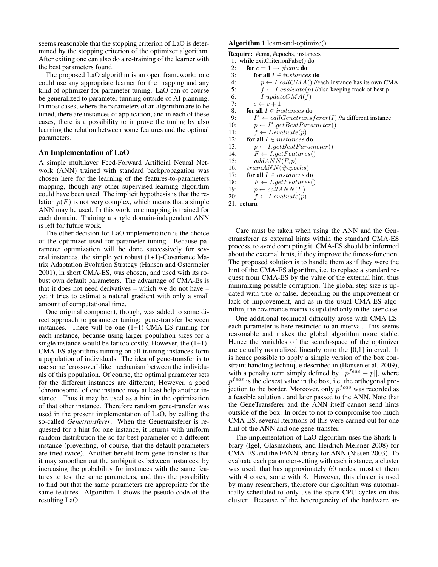seems reasonable that the stopping criterion of LaO is determined by the stopping criterion of the optimizer algorithm. After exiting one can also do a re-training of the learner with the best parameters found.

The proposed LaO algorithm is an open framework: one could use any appropriate learner for the mapping and any kind of optimizer for parameter tuning. LaO can of course be generalized to parameter tunning outside of AI planning. In most cases, where the parameters of an algorithm are to be tuned, there are instances of application, and in each of these cases, there is a possibility to improve the tuning by also learning the relation between some features and the optimal parameters.

#### An Implementation of LaO

A simple multilayer Feed-Forward Artificial Neural Network (ANN) trained with standard backpropagation was chosen here for the learning of the features-to-parameters mapping, though any other supervised-learning algorithm could have been used. The implicit hypothesis is that the relation  $p(F)$  is not very complex, which means that a simple ANN may be used. In this work, one mapping is trained for each domain. Training a single domain-independent ANN is left for future work.

The other decision for LaO implementation is the choice of the optimizer used for parameter tuning. Because parameter optimization will be done successively for several instances, the simple yet robust  $(1+1)$ -Covariance Matrix Adaptation Evolution Strategy (Hansen and Ostermeier 2001), in short CMA-ES, was chosen, and used with its robust own default parameters. The advantage of CMA-Es is that it does not need derivatives – which we do not have – yet it tries to estimat a natural gradient with only a small amount of computational time.

One original component, though, was added to some direct approach to parameter tuning: gene-transfer between instances. There will be one (1+1)-CMA-ES running for each instance, because using larger population sizes for a single instance would be far too costly. However, the  $(1+1)$ -CMA-ES algorithms running on all training instances form a population of individuals. The idea of gene-transfer is to use some 'crossover'-like mechanism between the individuals of this population. Of course, the optimal parameter sets for the different instances are different; However, a good 'chromosome' of one instance may at least help another instance. Thus it may be used as a hint in the optimization of that other instance. Therefore random gene-transfer was used in the present implementation of LaO, by calling the so-called *Genetransferer*. When the Genetransferer is requested for a hint for one instance, it returns with uniform random distribution the so-far best parameter of a different instance (preventing, of course, that the default parameters are tried twice). Another benefit from gene-transfer is that it may smoothen out the ambiguities between instances, by increasing the probability for instances with the same features to test the same parameters, and thus the possibility to find out that the same parameters are appropriate for the same features. Algorithm 1 shows the pseudo-code of the resulting LaO.

#### Algorithm 1 learn-and-optimize()

| <b>Require:</b> #cma, #epochs, instances                           |
|--------------------------------------------------------------------|
| 1: while exitCriterionFalse() do                                   |
| for $c = 1 \rightarrow \#cm$ a do<br>2:                            |
| for all $I \in instances$ do<br>3:                                 |
| 4:<br>$p \leftarrow I. call CMA()$ //each instance has its own CMA |
| 5:<br>$f \leftarrow I$ .evaluate(p) //also keeping track of best p |
| 6:<br>I.updateCMA(f)                                               |
| 7:<br>$c \leftarrow c + 1$                                         |
| 8:<br>for all $I \in instances$ do                                 |
| $I^* \leftarrow callGeneransferer(I)$ //a different instance<br>9: |
| $p \leftarrow I^* . getBestParameter()$<br>10:                     |
| $f \leftarrow I$ .evaluate(p)<br>11:                               |
| for all $I \in instances$ do<br>12:                                |
| 13:<br>$p \leftarrow I.getBestParameter()$                         |
| $F \leftarrow I.getFeatures()$<br>14:                              |
| addANN(F, p)<br>15:                                                |
| $trainANN(\#epochs)$<br>16:                                        |
| for all $I \in instances$ do<br>17:                                |
| 18:<br>$F \leftarrow I.getFeatures()$                              |
| $p \leftarrow callANN(F)$<br>19:                                   |
| 20:<br>$f \leftarrow I$ .evaluate(p)                               |
| 21: return                                                         |

Care must be taken when using the ANN and the Genetransferer as external hints within the standard CMA-ES process, to avoid corrupting it. CMA-ES should be informed about the external hints, if they improve the fitness-function. The proposed solution is to handle them as if they were the hint of the CMA-ES algorithm, i.e. to replace a standard request from CMA-ES by the value of the external hint, thus minimizing possible corruption. The global step size is updated with true or false, depending on the improvement or lack of improvement, and as in the usual CMA-ES algorithm, the covariance matrix is updated only in the later case.

One additional technical difficulty arose with CMA-ES: each parameter is here restricted to an interval. This seems reasonable and makes the global algorithm more stable. Hence the variables of the search-space of the optimizer are actually normalized linearly onto the [0,1] interval. It is hence possible to apply a simple version of the box constraint handling technique described in (Hansen et al. 2009), with a penalty term simply defined by  $||p^{feas} - p||$ , where  $p^{feas}$  is the closest value in the box, i.e. the orthogonal projection to the border. Moreover, only  $p^{feas}$  was recorded as a feasible solution , and later passed to the ANN. Note that the GeneTransferer and the ANN itself cannot send hints outside of the box. In order to not to compromise too much CMA-ES, several iterations of this were carried out for one hint of the ANN and one gene-transfer.

The implementation of LaO algorithm uses the Shark library (Igel, Glasmachers, and Heidrich-Meisner 2008) for CMA-ES and the FANN library for ANN (Nissen 2003). To evaluate each parameter-setting with each instance, a cluster was used, that has approximately 60 nodes, most of them with 4 cores, some with 8. However, this cluster is used by many researchers, therefore our algorithm was automatically scheduled to only use the spare CPU cycles on this cluster. Because of the heterogeneity of the hardware ar-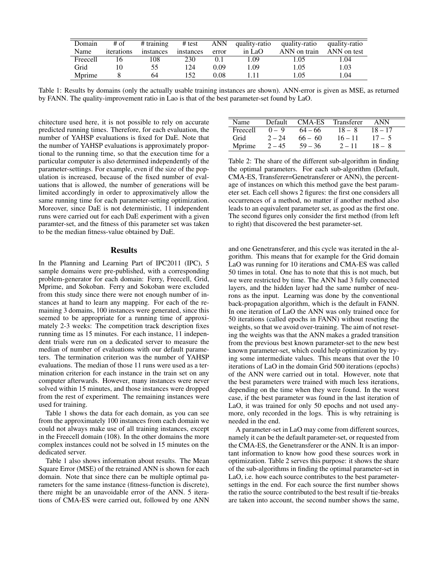| Domain          | # of       | $#$ training | # test    | ANN   | quality-ratio | quality-ratio | quality-ratio |
|-----------------|------------|--------------|-----------|-------|---------------|---------------|---------------|
| Name            | iterations | instances    | instances | error | in LaO        | ANN on train  | ANN on test   |
| <b>Freecell</b> |            | !08          | 230       | 0.1   | .09           | 1.05          | 1.04          |
| Grid            |            | 55           | 124       | 0.09  | . .09         | 1.05          | 1.03          |
| Mprime          |            | 64           | 152       | 0.08  |               | 1.05          | l.04          |

Table 1: Results by domains (only the actually usable training instances are shown). ANN-error is given as MSE, as returned by FANN. The quality-improvement ratio in Lao is that of the best parameter-set found by LaO.

chitecture used here, it is not possible to rely on accurate predicted running times. Therefore, for each evaluation, the number of YAHSP evaluations is fixed for DaE. Note that the number of YAHSP evaluations is approximately proportional to the running time, so that the execution time for a particular computer is also determined independently of the parameter-settings. For example, even if the size of the population is increased, because of the fixed number of evaluations that is allowed, the number of generations will be limited accordingly in order to approximatively allow the same running time for each parameter-setting optimization. Moreover, since DaE is not deterministic, 11 independent runs were carried out for each DaE experiment with a given paramter-set, and the fitness of this parameter set was taken to be the median fitness-value obtained by DaE.

#### Results

In the Planning and Learning Part of IPC2011 (IPC), 5 sample domains were pre-published, with a corresponding problem-generator for each domain: Ferry, Freecell, Grid, Mprime, and Sokoban. Ferry and Sokoban were excluded from this study since there were not enough number of instances at hand to learn any mapping. For each of the remaining 3 domains, 100 instances were generated, since this seemed to be appropriate for a running time of approximately 2-3 weeks: The competition track description fixes running time as 15 minutes. For each instance, 11 independent trials were run on a dedicated server to measure the median of number of evaluations with our default parameters. The termination criterion was the number of YAHSP evaluations. The median of those 11 runs were used as a termination criterion for each instance in the train set on any computer afterwards. However, many instances were never solved within 15 minutes, and those instances were dropped from the rest of experiment. The remaining instances were used for training.

Table 1 shows the data for each domain, as you can see from the approximately 100 instances from each domain we could not always make use of all training instances, except in the Freecell domain (108). In the other domains the more complex instances could not be solved in 15 minutes on the dedicated server.

Table 1 also shows information about results. The Mean Square Error (MSE) of the retrained ANN is shown for each domain. Note that since there can be multiple optimal parameters for the same instance (fitness-function is discrete), there might be an unavoidable error of the ANN. 5 iterations of CMA-ES were carried out, followed by one ANN

| Name            | Default  | CMA-ES    | Transferer | ANN       |
|-----------------|----------|-----------|------------|-----------|
| <b>Freecell</b> | $0 - 9$  | $64 - 66$ | $18 - 8$   | $18 - 17$ |
| Grid            | $2 - 24$ | $66 - 60$ | $16 - 11$  | $17 - 5$  |
| Mprime          | $2 - 45$ | $59 - 36$ | $2 - 11$   | $18 - 8$  |

Table 2: The share of the different sub-algorithm in finding the optimal parameters. For each sub-algorithm (Default, CMA-ES, Transferer=Genetransferer or ANN), the percentage of instances on which this method gave the best parameter set. Each cell shows 2 figures: the first one considers all occurrences of a method, no matter if another method also leads to an equivalent parameter set, as good as the first one. The second figures only consider the first method (from left to right) that discovered the best parameter-set.

and one Genetransferer, and this cycle was iterated in the algorithm. This means that for example for the Grid domain LaO was running for 10 iterations and CMA-ES was called 50 times in total. One has to note that this is not much, but we were restricted by time. The ANN had 3 fully connected layers, and the hidden layer had the same number of neurons as the input. Learning was done by the conventional back-propagation algorithm, which is the default in FANN. In one iteration of LaO the ANN was only trained once for 50 iterations (called epochs in FANN) without reseting the weights, so that we avoid over-training. The aim of not reseting the weights was that the ANN makes a graded transition from the previous best known parameter-set to the new best known parameter-set, which could help optimization by trying some intermediate values. This means that over the 10 iterations of LaO in the domain Grid 500 iterations (epochs) of the ANN were carried out in total. However, note that the best parameters were trained with much less iterations, depending on the time when they were found. In the worst case, if the best parameter was found in the last iteration of LaO, it was trained for only 50 epochs and not used anymore, only recorded in the logs. This is why retraining is needed in the end.

A parameter-set in LaO may come from different sources, namely it can be the default parameter-set, or requested from the CMA-ES, the Genetransferer or the ANN. It is an important information to know how good these sources work in optimization. Table 2 serves this purpose: it shows the share of the sub-algorithms in finding the optimal parameter-set in LaO, i.e. how each source contributes to the best parametersettings in the end. For each source the first number shows the ratio the source contributed to the best result if tie-breaks are taken into account, the second number shows the same,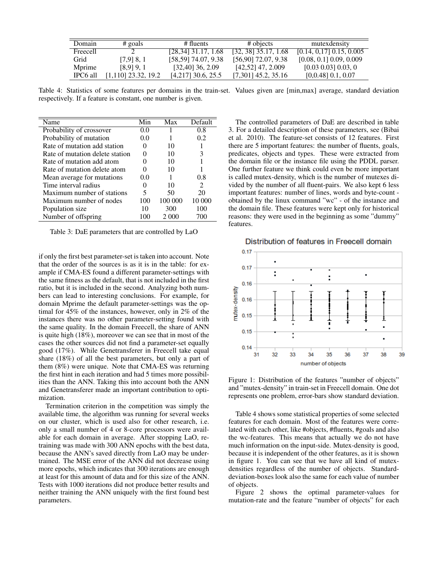| Domain   | $\#$ goals            | # fluents            | # objects              | mutexdensity               |
|----------|-----------------------|----------------------|------------------------|----------------------------|
| Freecell |                       | [28.34] 31.17, 1.68  | $[32, 38]$ 35.17, 1.68 | $[0.14, 0.17]$ 0.15, 0.005 |
| Grid     | $[7.9]$ 8, 1          | [58,59] 74.07, 9.38  | [56,90] 72.07, 9.38    | $[0.08, 0.1]$ 0.09, 0.009  |
| Mprime   | $[8, 9]$ 9, 1         | $[32,40]$ 36, 2.09   | $[42,52]$ 47, 2.009    | $[0.03 \ 0.03] \ 0.03, 0$  |
| IPC6 all | $[1,110]$ 23.32, 19.2 | $[4,217]$ 30.6, 25.5 | $[7,301]$ 45.2, 35.16  | $[0,0.48]$ 0.1, 0.07       |

Table 4: Statistics of some features per domains in the train-set. Values given are [min,max] average, standard deviation respectively. If a feature is constant, one number is given.

| Name                            | Min | Max     | Default       |
|---------------------------------|-----|---------|---------------|
| Probability of crossover        | 0.0 |         | 0.8           |
| Probability of mutation         | 0.0 |         | 0.2           |
| Rate of mutation add station    |     | 10      |               |
| Rate of mutation delete station |     | 10      |               |
| Rate of mutation add atom       |     | 10      |               |
| Rate of mutation delete atom    |     | 10      |               |
| Mean average for mutations      | 0.0 |         | 0.8           |
| Time interval radius            |     | 10      | $\mathcal{L}$ |
| Maximum number of stations      | 5   | 50      | 20            |
| Maximum number of nodes         | 100 | 100 000 | 10 000        |
| Population size                 | 10  | 300     | 100           |
| Number of offspring             | 100 | 2 000   | /(10)         |

Table 3: DaE parameters that are controlled by LaO

if only the first best parameter-set is taken into account. Note that the order of the sources is as it is in the table: for example if CMA-ES found a different parameter-settings with the same fitness as the default, that is not included in the first ratio, but it is included in the second. Analyzing both numbers can lead to interesting conclusions. For example, for domain Mprime the default parameter-settings was the optimal for 45% of the instances, however, only in 2% of the instances there was no other parameter-setting found with the same quality. In the domain Freecell, the share of ANN is quite high (18%), moreover we can see that in most of the cases the other sources did not find a parameter-set equally good (17%). While Genetransferer in Freecell take equal share (18%) of all the best parameters, but only a part of them (8%) were unique. Note that CMA-ES was returning the first hint in each iteration and had 5 times more possibilities than the ANN. Taking this into account both the ANN and Genetransferer made an important contribution to optimization.

Termination criterion in the competition was simply the available time, the algorithm was running for several weeks on our cluster, which is used also for other research, i.e. only a small number of 4 or 8-core processors were available for each domain in average. After stopping LaO, retraining was made with 300 ANN epochs with the best data, because the ANN's saved directly from LaO may be undertrained. The MSE error of the ANN did not decrease using more epochs, which indicates that 300 iterations are enough at least for this amount of data and for this size of the ANN. Tests with 1000 iterations did not produce better results and neither training the ANN uniquely with the first found best parameters.

The controlled parameters of DaE are described in table 3. For a detailed description of these parameters, see (Bibai et al. 2010). The feature-set consists of 12 features. First there are 5 important features: the number of fluents, goals, predicates, objects and types. These were extracted from the domain file or the instance file using the PDDL parser. One further feature we think could even be more important is called mutex-density, which is the number of mutexes divided by the number of all fluent-pairs. We also kept 6 less important features: number of lines, words and byte-count obtained by the linux command "wc" - of the instance and the domain file. These features were kept only for historical reasons: they were used in the beginning as some "dummy" features.



Distribution of features in Freecell domain

Figure 1: Distribution of the features "number of objects" and "mutex-density" in train-set in Freecell domain. One dot represents one problem, error-bars show standard deviation.

Table 4 shows some statistical properties of some selected features for each domain. Most of the features were correlated with each other, like #objects, #fluents, #goals and also the wc-features. This means that actually we do not have much information on the input-side. Mutex-density is good, because it is independent of the other features, as it is shown in figure 1. You can see that we have all kind of mutexdensities regardless of the number of objects. Standarddeviation-boxes look also the same for each value of number of objects.

Figure 2 shows the optimal parameter-values for mutation-rate and the feature "number of objects" for each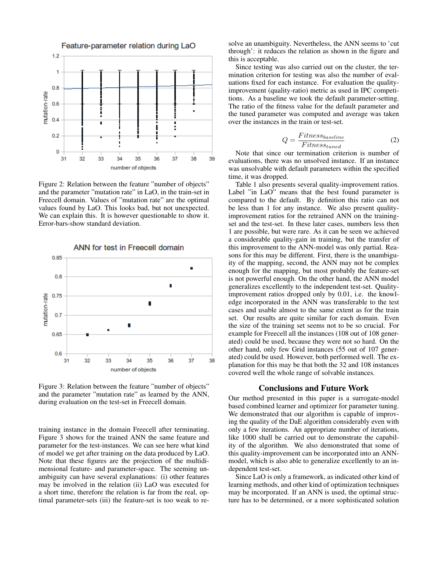

Figure 2: Relation between the feature "number of objects" and the parameter "mutation rate" in LaO, in the train-set in Freecell domain. Values of "mutation rate" are the optimal values found by LaO. This looks bad, but not unexpected. We can explain this. It is however questionable to show it. Error-bars-show standard deviation.



Figure 3: Relation between the feature "number of objects" and the parameter "mutation rate" as learned by the ANN, during evaluation on the test-set in Freecell domain.

training instance in the domain Freecell after terminating. Figure 3 shows for the trained ANN the same feature and parameter for the test-instances. We can see here what kind of model we get after training on the data produced by LaO. Note that these figures are the projection of the multidimensional feature- and parameter-space. The seeming unambiguity can have several explanations: (i) other features may be involved in the relation (ii) LaO was executed for a short time, therefore the relation is far from the real, optimal parameter-sets (iii) the feature-set is too weak to resolve an unambiguity. Nevertheless, the ANN seems to 'cut through': it reduces the relation as shown in the figure and this is acceptable.

Since testing was also carried out on the cluster, the termination criterion for testing was also the number of evaluations fixed for each instance. For evaluation the qualityimprovement (quality-ratio) metric as used in IPC competitions. As a baseline we took the default parameter-setting. The ratio of the fitness value for the default parameter and the tuned parameter was computed and average was taken over the instances in the train or test-set.

$$
Q = \frac{Fitness_{baseline}}{Fitness_{tuned}} \tag{2}
$$

Note that since our termination criterion is number of evaluations, there was no unsolved instance. If an instance was unsolvable with default parameters within the specified time, it was dropped.

Table 1 also presents several quality-improvement ratios. Label "in LaO" means that the best found parameter is compared to the default. By definition this ratio can not be less than 1 for any instance. We also present qualityimprovement ratios for the retrained ANN on the trainingset and the test-set. In these later cases, numbers less then 1 are possible, but were rare. As it can be seen we achieved a considerable quality-gain in training, but the transfer of this improvement to the ANN-model was only partial. Reasons for this may be different. First, there is the unambiguity of the mapping, second, the ANN may not be complex enough for the mapping, but most probably the feature-set is not powerful enough. On the other hand, the ANN model generalizes excellently to the independent test-set. Qualityimprovement ratios dropped only by 0.01, i.e. the knowledge incorporated in the ANN was transferable to the test cases and usable almost to the same extent as for the train set. Our results are quite similar for each domain. Even the size of the training set seems not to be so crucial. For example for Freecell all the instances (108 out of 108 generated) could be used, because they were not so hard. On the other hand, only few Grid instances (55 out of 107 generated) could be used. However, both performed well. The explanation for this may be that both the 32 and 108 instances covered well the whole range of solvable instances.

#### Conclusions and Future Work

Our method presented in this paper is a surrogate-model based combined learner and optimizer for parameter tuning. We demonstrated that our algorithm is capable of improving the quality of the DaE algorithm considerably even with only a few iterations. An appropriate number of iterations, like 1000 shall be carried out to demonstrate the capability of the algorithm. We also demonstrated that some of this quality-improvement can be incorporated into an ANNmodel, which is also able to generalize excellently to an independent test-set.

Since LaO is only a framework, as indicated other kind of learning methods, and other kind of optimization techniques may be incorporated. If an ANN is used, the optimal structure has to be determined, or a more sophisticated solution